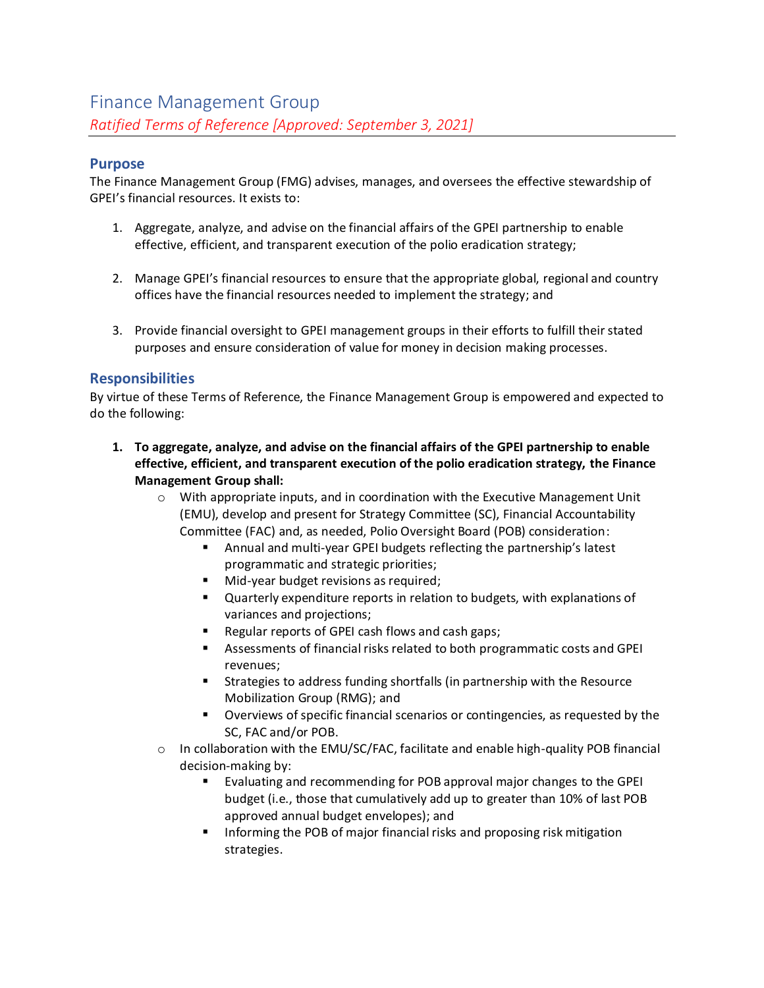## **Purpose**

The Finance Management Group (FMG) advises, manages, and oversees the effective stewardship of GPEI's financial resources. It exists to:

- 1. Aggregate, analyze, and advise on the financial affairs of the GPEI partnership to enable effective, efficient, and transparent execution of the polio eradication strategy;
- 2. Manage GPEI's financial resources to ensure that the appropriate global, regional and country offices have the financial resources needed to implement the strategy; and
- 3. Provide financial oversight to GPEI management groups in their efforts to fulfill their stated purposes and ensure consideration of value for money in decision making processes.

## **Responsibilities**

By virtue of these Terms of Reference, the Finance Management Group is empowered and expected to do the following:

- **1. To aggregate, analyze, and advise on the financial affairs of the GPEI partnership to enable effective, efficient, and transparent execution of the polio eradication strategy, the Finance Management Group shall:**
	- o With appropriate inputs, and in coordination with the Executive Management Unit (EMU), develop and present for Strategy Committee (SC), Financial Accountability Committee (FAC) and, as needed, Polio Oversight Board (POB) consideration:
		- Annual and multi-year GPEI budgets reflecting the partnership's latest programmatic and strategic priorities;
		- Mid-year budget revisions as required;
		- Quarterly expenditure reports in relation to budgets, with explanations of variances and projections;
		- Regular reports of GPEI cash flows and cash gaps;
		- Assessments of financial risks related to both programmatic costs and GPEI revenues;
		- Strategies to address funding shortfalls (in partnership with the Resource Mobilization Group (RMG); and
		- Overviews of specific financial scenarios or contingencies, as requested by the SC, FAC and/or POB.
	- $\circ$  In collaboration with the EMU/SC/FAC, facilitate and enable high-quality POB financial decision-making by:
		- Evaluating and recommending for POB approval major changes to the GPEI budget (i.e., those that cumulatively add up to greater than 10% of last POB approved annual budget envelopes); and
		- Informing the POB of major financial risks and proposing risk mitigation strategies.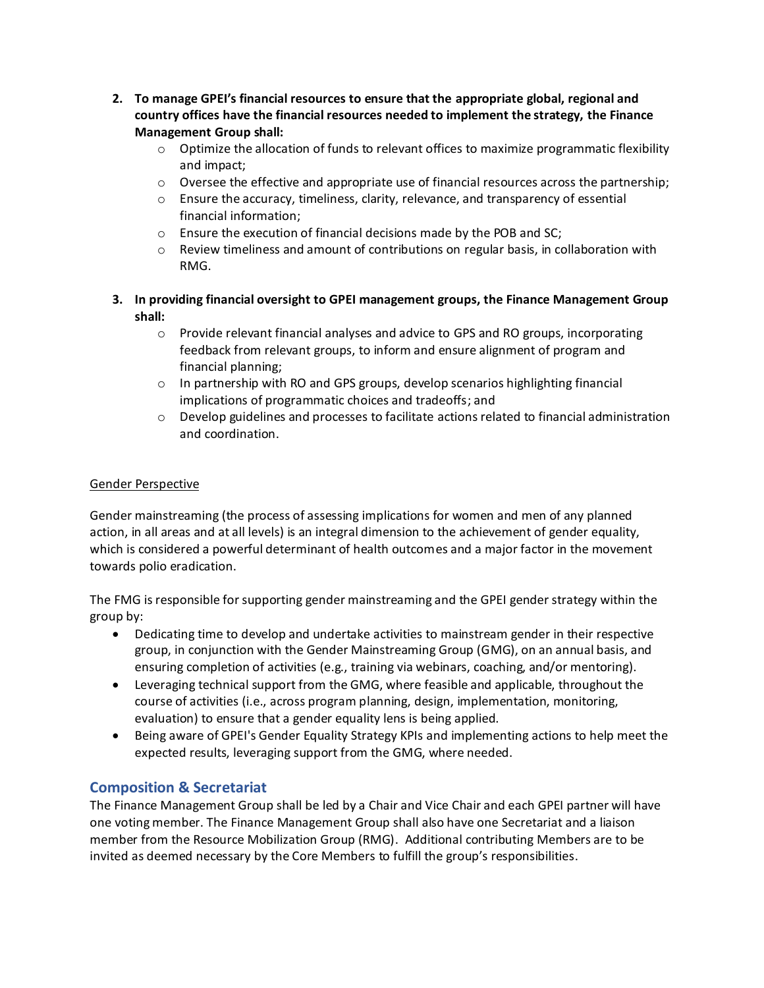- **2. To manage GPEI's financial resources to ensure that the appropriate global, regional and country offices have the financial resources needed to implement the strategy, the Finance Management Group shall:**
	- $\circ$  Optimize the allocation of funds to relevant offices to maximize programmatic flexibility and impact;
	- $\circ$  Oversee the effective and appropriate use of financial resources across the partnership;
	- $\circ$  Ensure the accuracy, timeliness, clarity, relevance, and transparency of essential financial information;
	- o Ensure the execution of financial decisions made by the POB and SC;
	- $\circ$  Review timeliness and amount of contributions on regular basis, in collaboration with RMG.
- **3. In providing financial oversight to GPEI management groups, the Finance Management Group shall:**
	- o Provide relevant financial analyses and advice to GPS and RO groups, incorporating feedback from relevant groups, to inform and ensure alignment of program and financial planning;
	- o In partnership with RO and GPS groups, develop scenarios highlighting financial implications of programmatic choices and tradeoffs; and
	- $\circ$  Develop guidelines and processes to facilitate actions related to financial administration and coordination.

### Gender Perspective

Gender mainstreaming (the process of assessing implications for women and men of any planned action, in all areas and at all levels) is an integral dimension to the achievement of gender equality, which is considered a powerful determinant of health outcomes and a major factor in the movement towards polio eradication.

The FMG is responsible for supporting gender mainstreaming and the GPEI gender strategy within the group by:

- Dedicating time to develop and undertake activities to mainstream gender in their respective group, in conjunction with the Gender Mainstreaming Group (GMG), on an annual basis, and ensuring completion of activities (e.g., training via webinars, coaching, and/or mentoring).
- Leveraging technical support from the GMG, where feasible and applicable, throughout the course of activities (i.e., across program planning, design, implementation, monitoring, evaluation) to ensure that a gender equality lens is being applied.
- Being aware of GPEI's Gender Equality Strategy KPIs and implementing actions to help meet the expected results, leveraging support from the GMG, where needed.

## **Composition & Secretariat**

The Finance Management Group shall be led by a Chair and Vice Chair and each GPEI partner will have one voting member. The Finance Management Group shall also have one Secretariat and a liaison member from the Resource Mobilization Group (RMG). Additional contributing Members are to be invited as deemed necessary by the Core Members to fulfill the group's responsibilities.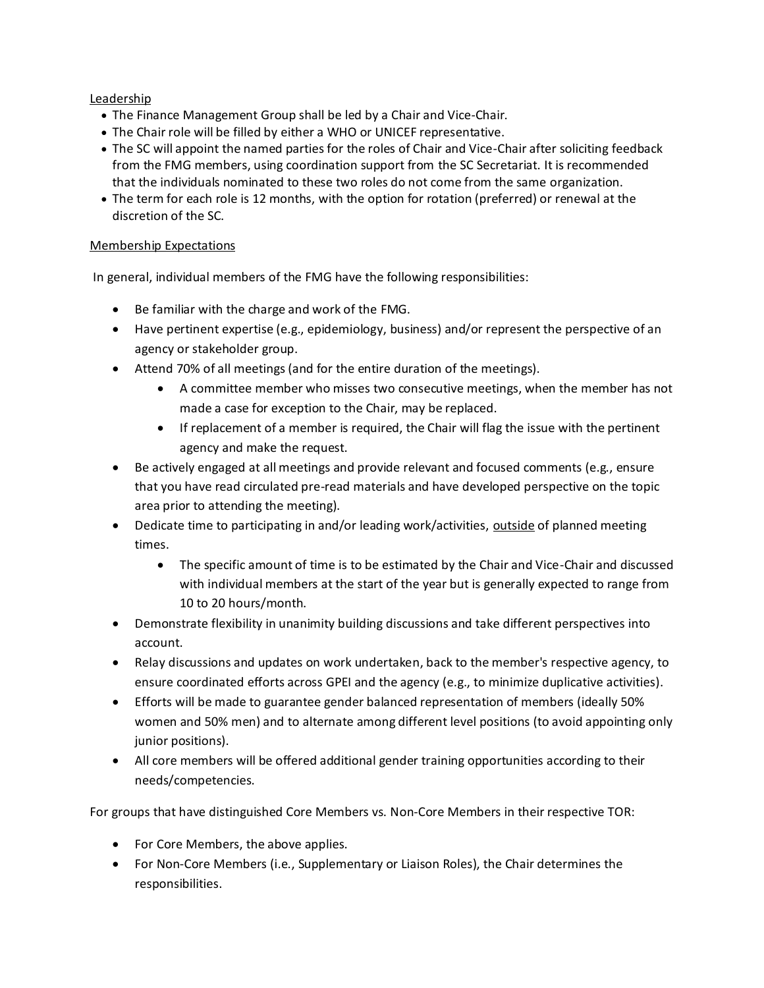### Leadership

- The Finance Management Group shall be led by a Chair and Vice-Chair.
- The Chair role will be filled by either a WHO or UNICEF representative.
- The SC will appoint the named parties for the roles of Chair and Vice-Chair after soliciting feedback from the FMG members, using coordination support from the SC Secretariat. It is recommended that the individuals nominated to these two roles do not come from the same organization.
- The term for each role is 12 months, with the option for rotation (preferred) or renewal at the discretion of the SC.

#### Membership Expectations

In general, individual members of the FMG have the following responsibilities:

- Be familiar with the charge and work of the FMG.
- Have pertinent expertise (e.g., epidemiology, business) and/or represent the perspective of an agency or stakeholder group.
- Attend 70% of all meetings (and for the entire duration of the meetings).
	- A committee member who misses two consecutive meetings, when the member has not made a case for exception to the Chair, may be replaced.
	- If replacement of a member is required, the Chair will flag the issue with the pertinent agency and make the request.
- Be actively engaged at all meetings and provide relevant and focused comments (e.g., ensure that you have read circulated pre-read materials and have developed perspective on the topic area prior to attending the meeting).
- Dedicate time to participating in and/or leading work/activities, outside of planned meeting times.
	- The specific amount of time is to be estimated by the Chair and Vice-Chair and discussed with individual members at the start of the year but is generally expected to range from 10 to 20 hours/month.
- Demonstrate flexibility in unanimity building discussions and take different perspectives into account.
- Relay discussions and updates on work undertaken, back to the member's respective agency, to ensure coordinated efforts across GPEI and the agency (e.g., to minimize duplicative activities).
- Efforts will be made to guarantee gender balanced representation of members (ideally 50% women and 50% men) and to alternate among different level positions (to avoid appointing only junior positions).
- All core members will be offered additional gender training opportunities according to their needs/competencies.

For groups that have distinguished Core Members vs. Non-Core Members in their respective TOR:

- For Core Members, the above applies.
- For Non-Core Members (i.e., Supplementary or Liaison Roles), the Chair determines the responsibilities.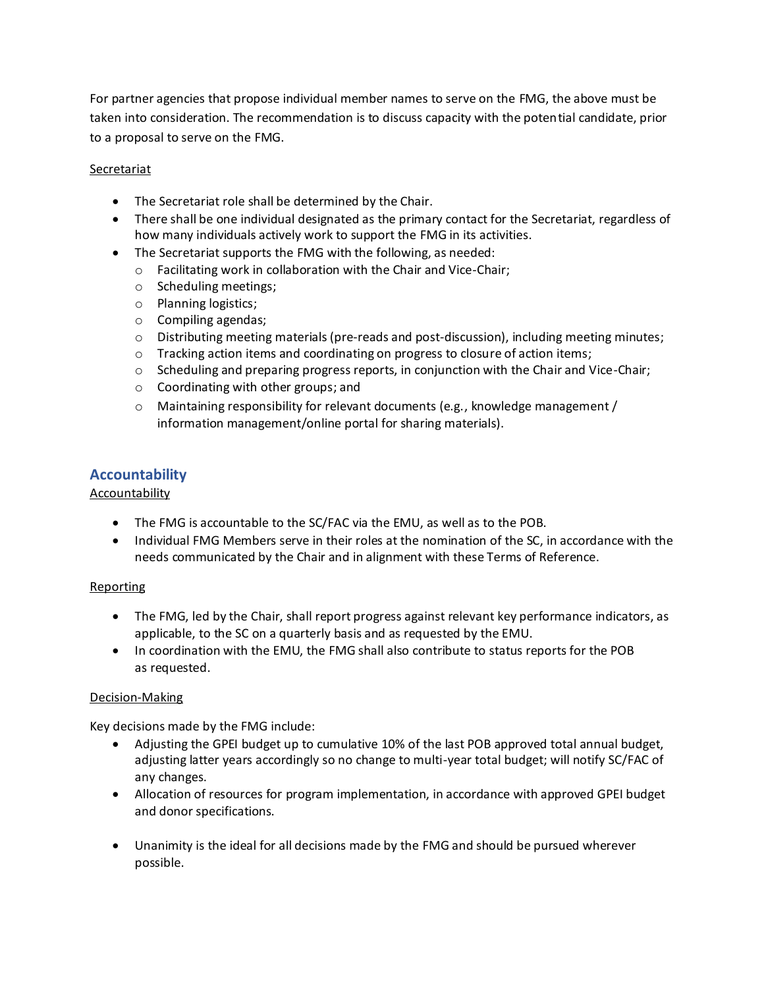For partner agencies that propose individual member names to serve on the FMG, the above must be taken into consideration. The recommendation is to discuss capacity with the potential candidate, prior to a proposal to serve on the FMG.

### **Secretariat**

- The Secretariat role shall be determined by the Chair.
- There shall be one individual designated as the primary contact for the Secretariat, regardless of how many individuals actively work to support the FMG in its activities.
- The Secretariat supports the FMG with the following, as needed:
	- o Facilitating work in collaboration with the Chair and Vice-Chair;
	- o Scheduling meetings;
	- o Planning logistics;
	- o Compiling agendas;
	- $\circ$  Distributing meeting materials (pre-reads and post-discussion), including meeting minutes;
	- o Tracking action items and coordinating on progress to closure of action items;
	- o Scheduling and preparing progress reports, in conjunction with the Chair and Vice-Chair;
	- o Coordinating with other groups; and
	- $\circ$  Maintaining responsibility for relevant documents (e.g., knowledge management / information management/online portal for sharing materials).

## **Accountability**

#### Accountability

- The FMG is accountable to the SC/FAC via the EMU, as well as to the POB.
- Individual FMG Members serve in their roles at the nomination of the SC, in accordance with the needs communicated by the Chair and in alignment with these Terms of Reference.

#### **Reporting**

- The FMG, led by the Chair, shall report progress against relevant key performance indicators, as applicable, to the SC on a quarterly basis and as requested by the EMU.
- In coordination with the EMU, the FMG shall also contribute to status reports for the POB as requested.

#### Decision-Making

Key decisions made by the FMG include:

- Adjusting the GPEI budget up to cumulative 10% of the last POB approved total annual budget, adjusting latter years accordingly so no change to multi-year total budget; will notify SC/FAC of any changes.
- Allocation of resources for program implementation, in accordance with approved GPEI budget and donor specifications.
- Unanimity is the ideal for all decisions made by the FMG and should be pursued wherever possible.